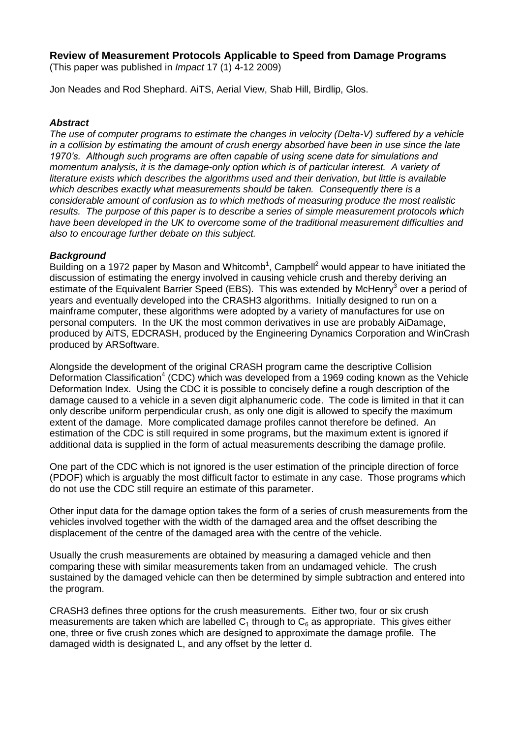# **Review of Measurement Protocols Applicable to Speed from Damage Programs**

(This paper was published in *Impact* 17 (1) 4-12 2009)

Jon Neades and Rod Shephard. AiTS, Aerial View, Shab Hill, Birdlip, Glos.

## *Abstract*

*The use of computer programs to estimate the changes in velocity (Delta-V) suffered by a vehicle in a collision by estimating the amount of crush energy absorbed have been in use since the late 1970's. Although such programs are often capable of using scene data for simulations and momentum analysis, it is the damage-only option which is of particular interest. A variety of literature exists which describes the algorithms used and their derivation, but little is available which describes exactly what measurements should be taken. Consequently there is a considerable amount of confusion as to which methods of measuring produce the most realistic results. The purpose of this paper is to describe a series of simple measurement protocols which have been developed in the UK to overcome some of the traditional measurement difficulties and also to encourage further debate on this subject.*

## *Background*

Building on a 1972 paper by Mason and Whitcomb<sup>1</sup>, Campbell<sup>2</sup> would appear to have initiated the discussion of estimating the energy involved in causing vehicle crush and thereby deriving an estimate of the Equivalent Barrier Speed (EBS). This was extended by McHenry<sup>3</sup> over a period of years and eventually developed into the CRASH3 algorithms. Initially designed to run on a mainframe computer, these algorithms were adopted by a variety of manufactures for use on personal computers. In the UK the most common derivatives in use are probably AiDamage, produced by AiTS, EDCRASH, produced by the Engineering Dynamics Corporation and WinCrash produced by ARSoftware.

Alongside the development of the original CRASH program came the descriptive Collision Deformation Classification<sup>4</sup> (CDC) which was developed from a 1969 coding known as the Vehicle Deformation Index. Using the CDC it is possible to concisely define a rough description of the damage caused to a vehicle in a seven digit alphanumeric code. The code is limited in that it can only describe uniform perpendicular crush, as only one digit is allowed to specify the maximum extent of the damage. More complicated damage profiles cannot therefore be defined. An estimation of the CDC is still required in some programs, but the maximum extent is ignored if additional data is supplied in the form of actual measurements describing the damage profile.

One part of the CDC which is not ignored is the user estimation of the principle direction of force (PDOF) which is arguably the most difficult factor to estimate in any case. Those programs which do not use the CDC still require an estimate of this parameter.

Other input data for the damage option takes the form of a series of crush measurements from the vehicles involved together with the width of the damaged area and the offset describing the displacement of the centre of the damaged area with the centre of the vehicle.

Usually the crush measurements are obtained by measuring a damaged vehicle and then comparing these with similar measurements taken from an undamaged vehicle. The crush sustained by the damaged vehicle can then be determined by simple subtraction and entered into the program.

CRASH3 defines three options for the crush measurements. Either two, four or six crush measurements are taken which are labelled  $C_1$  through to  $C_6$  as appropriate. This gives either one, three or five crush zones which are designed to approximate the damage profile. The damaged width is designated L, and any offset by the letter d.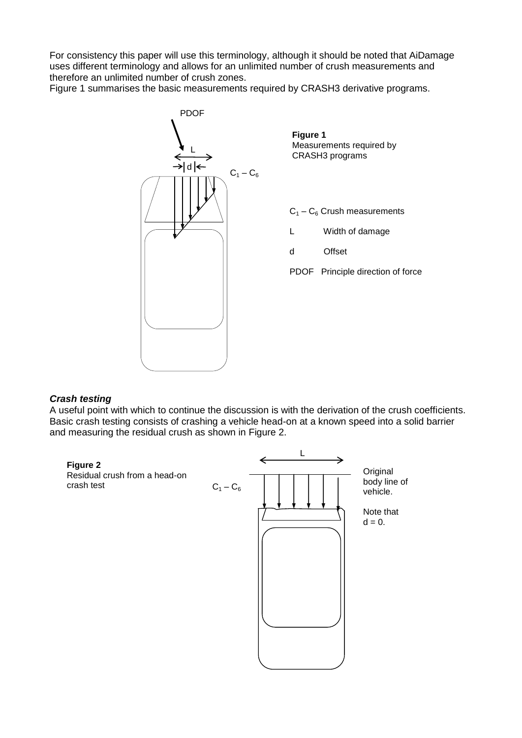For consistency this paper will use this terminology, although it should be noted that AiDamage uses different terminology and allows for an unlimited number of crush measurements and therefore an unlimited number of crush zones.

Figure 1 summarises the basic measurements required by CRASH3 derivative programs.



**Figure 1** Measurements required by CRASH3 programs

- $C_1 C_6$  Crush measurements
- L Width of damage
- d Offset

PDOF Principle direction of force

#### *Crash testing*

A useful point with which to continue the discussion is with the derivation of the crush coefficients. Basic crash testing consists of crashing a vehicle head-on at a known speed into a solid barrier and measuring the residual crush as shown in Figure 2.

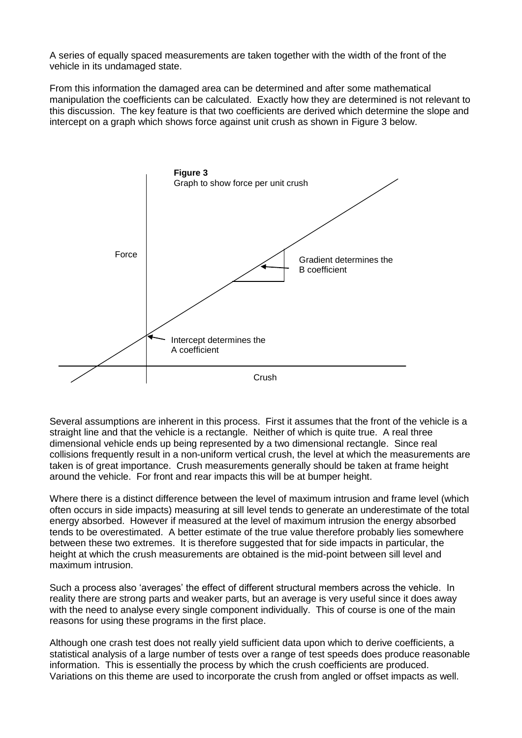A series of equally spaced measurements are taken together with the width of the front of the vehicle in its undamaged state.

From this information the damaged area can be determined and after some mathematical manipulation the coefficients can be calculated. Exactly how they are determined is not relevant to this discussion. The key feature is that two coefficients are derived which determine the slope and intercept on a graph which shows force against unit crush as shown in Figure 3 below.



Several assumptions are inherent in this process. First it assumes that the front of the vehicle is a straight line and that the vehicle is a rectangle. Neither of which is quite true. A real three dimensional vehicle ends up being represented by a two dimensional rectangle. Since real collisions frequently result in a non-uniform vertical crush, the level at which the measurements are taken is of great importance. Crush measurements generally should be taken at frame height around the vehicle. For front and rear impacts this will be at bumper height.

Where there is a distinct difference between the level of maximum intrusion and frame level (which often occurs in side impacts) measuring at sill level tends to generate an underestimate of the total energy absorbed. However if measured at the level of maximum intrusion the energy absorbed tends to be overestimated. A better estimate of the true value therefore probably lies somewhere between these two extremes. It is therefore suggested that for side impacts in particular, the height at which the crush measurements are obtained is the mid-point between sill level and maximum intrusion.

Such a process also 'averages' the effect of different structural members across the vehicle. In reality there are strong parts and weaker parts, but an average is very useful since it does away with the need to analyse every single component individually. This of course is one of the main reasons for using these programs in the first place.

Although one crash test does not really yield sufficient data upon which to derive coefficients, a statistical analysis of a large number of tests over a range of test speeds does produce reasonable information. This is essentially the process by which the crush coefficients are produced. Variations on this theme are used to incorporate the crush from angled or offset impacts as well.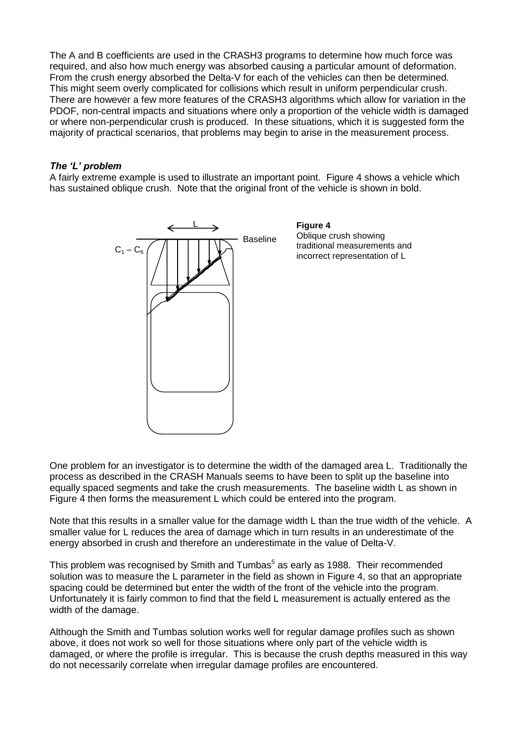The A and B coefficients are used in the CRASH3 programs to determine how much force was required, and also how much energy was absorbed causing a particular amount of deformation. From the crush energy absorbed the Delta-V for each of the vehicles can then be determined. This might seem overly complicated for collisions which result in uniform perpendicular crush. There are however a few more features of the CRASH3 algorithms which allow for variation in the PDOF, non-central impacts and situations where only a proportion of the vehicle width is damaged or where non-perpendicular crush is produced. In these situations, which it is suggested form the majority of practical scenarios, that problems may begin to arise in the measurement process.

#### *The 'L' problem*

A fairly extreme example is used to illustrate an important point. Figure 4 shows a vehicle which has sustained oblique crush. Note that the original front of the vehicle is shown in bold.



One problem for an investigator is to determine the width of the damaged area L. Traditionally the process as described in the CRASH Manuals seems to have been to split up the baseline into equally spaced segments and take the crush measurements. The baseline width L as shown in Figure 4 then forms the measurement L which could be entered into the program.

Note that this results in a smaller value for the damage width L than the true width of the vehicle. A smaller value for L reduces the area of damage which in turn results in an underestimate of the energy absorbed in crush and therefore an underestimate in the value of Delta-V.

This problem was recognised by Smith and Tumbas<sup>5</sup> as early as 1988. Their recommended solution was to measure the L parameter in the field as shown in Figure 4, so that an appropriate spacing could be determined but enter the width of the front of the vehicle into the program. Unfortunately it is fairly common to find that the field L measurement is actually entered as the width of the damage.

Although the Smith and Tumbas solution works well for regular damage profiles such as shown above, it does not work so well for those situations where only part of the vehicle width is damaged, or where the profile is irregular. This is because the crush depths measured in this way do not necessarily correlate when irregular damage profiles are encountered.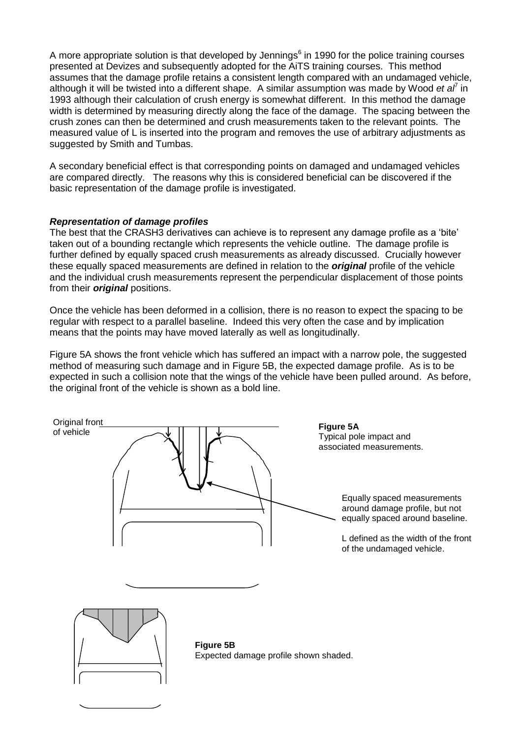A more appropriate solution is that developed by Jennings $<sup>6</sup>$  in 1990 for the police training courses</sup> presented at Devizes and subsequently adopted for the AiTS training courses. This method assumes that the damage profile retains a consistent length compared with an undamaged vehicle, although it will be twisted into a different shape. A similar assumption was made by Wood et al<sup>7</sup> in 1993 although their calculation of crush energy is somewhat different. In this method the damage width is determined by measuring directly along the face of the damage. The spacing between the crush zones can then be determined and crush measurements taken to the relevant points. The measured value of L is inserted into the program and removes the use of arbitrary adjustments as suggested by Smith and Tumbas.

A secondary beneficial effect is that corresponding points on damaged and undamaged vehicles are compared directly. The reasons why this is considered beneficial can be discovered if the basic representation of the damage profile is investigated.

## *Representation of damage profiles*

The best that the CRASH3 derivatives can achieve is to represent any damage profile as a 'bite' taken out of a bounding rectangle which represents the vehicle outline. The damage profile is further defined by equally spaced crush measurements as already discussed. Crucially however these equally spaced measurements are defined in relation to the *original* profile of the vehicle and the individual crush measurements represent the perpendicular displacement of those points from their *original* positions.

Once the vehicle has been deformed in a collision, there is no reason to expect the spacing to be regular with respect to a parallel baseline. Indeed this very often the case and by implication means that the points may have moved laterally as well as longitudinally.

Figure 5A shows the front vehicle which has suffered an impact with a narrow pole, the suggested method of measuring such damage and in Figure 5B, the expected damage profile. As is to be expected in such a collision note that the wings of the vehicle have been pulled around. As before, the original front of the vehicle is shown as a bold line.

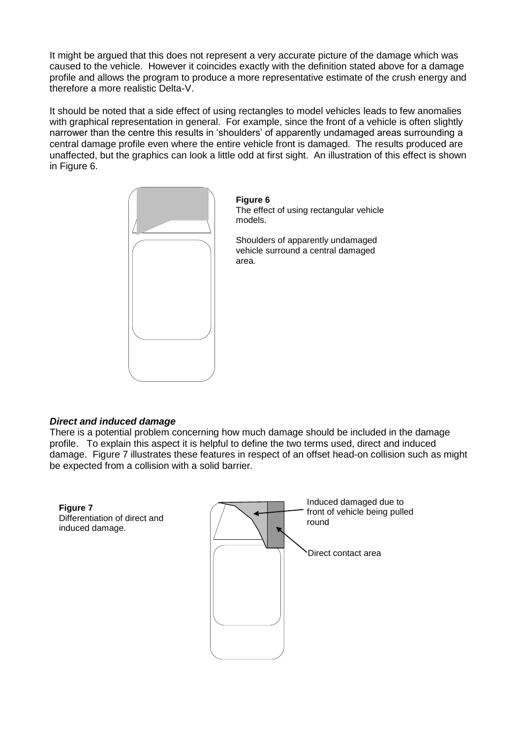It might be argued that this does not represent a very accurate picture of the damage which was caused to the vehicle. However it coincides exactly with the definition stated above for a damage profile and allows the program to produce a more representative estimate of the crush energy and therefore a more realistic Delta-V.

It should be noted that a side effect of using rectangles to model vehicles leads to few anomalies with graphical representation in general. For example, since the front of a vehicle is often slightly narrower than the centre this results in 'shoulders' of apparently undamaged areas surrounding a central damage profile even where the entire vehicle front is damaged. The results produced are unaffected, but the graphics can look a little odd at first sight. An illustration of this effect is shown in Figure 6.



**Figure 6** The effect of using rectangular vehicle models.

Shoulders of apparently undamaged vehicle surround a central damaged area.

## *Direct and induced damage*

There is a potential problem concerning how much damage should be included in the damage profile. To explain this aspect it is helpful to define the two terms used, direct and induced damage. Figure 7 illustrates these features in respect of an offset head-on collision such as might be expected from a collision with a solid barrier.

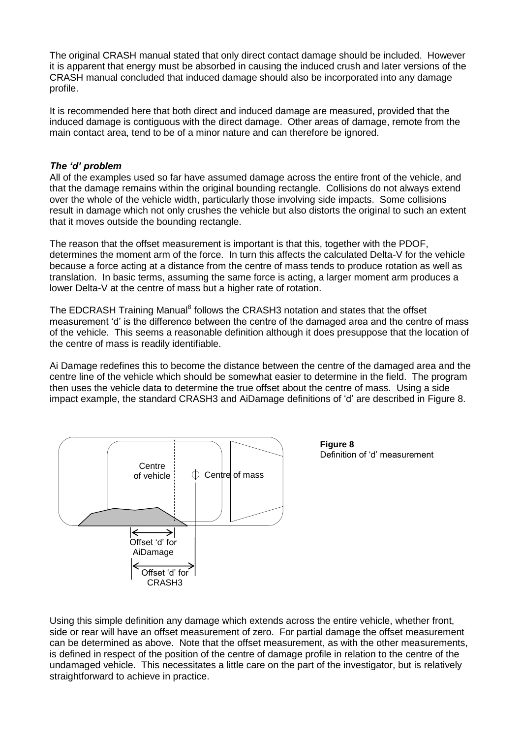The original CRASH manual stated that only direct contact damage should be included. However it is apparent that energy must be absorbed in causing the induced crush and later versions of the CRASH manual concluded that induced damage should also be incorporated into any damage profile.

It is recommended here that both direct and induced damage are measured, provided that the induced damage is contiguous with the direct damage. Other areas of damage, remote from the main contact area, tend to be of a minor nature and can therefore be ignored.

## *The 'd' problem*

All of the examples used so far have assumed damage across the entire front of the vehicle, and that the damage remains within the original bounding rectangle. Collisions do not always extend over the whole of the vehicle width, particularly those involving side impacts. Some collisions result in damage which not only crushes the vehicle but also distorts the original to such an extent that it moves outside the bounding rectangle.

The reason that the offset measurement is important is that this, together with the PDOF, determines the moment arm of the force. In turn this affects the calculated Delta-V for the vehicle because a force acting at a distance from the centre of mass tends to produce rotation as well as translation. In basic terms, assuming the same force is acting, a larger moment arm produces a lower Delta-V at the centre of mass but a higher rate of rotation.

The EDCRASH Training Manual<sup>8</sup> follows the CRASH3 notation and states that the offset measurement 'd' is the difference between the centre of the damaged area and the centre of mass of the vehicle. This seems a reasonable definition although it does presuppose that the location of the centre of mass is readily identifiable.

Ai Damage redefines this to become the distance between the centre of the damaged area and the centre line of the vehicle which should be somewhat easier to determine in the field. The program then uses the vehicle data to determine the true offset about the centre of mass. Using a side impact example, the standard CRASH3 and AiDamage definitions of 'd' are described in Figure 8.



**Figure 8** Definition of 'd' measurement

Using this simple definition any damage which extends across the entire vehicle, whether front, side or rear will have an offset measurement of zero. For partial damage the offset measurement can be determined as above. Note that the offset measurement, as with the other measurements, is defined in respect of the position of the centre of damage profile in relation to the centre of the undamaged vehicle. This necessitates a little care on the part of the investigator, but is relatively straightforward to achieve in practice.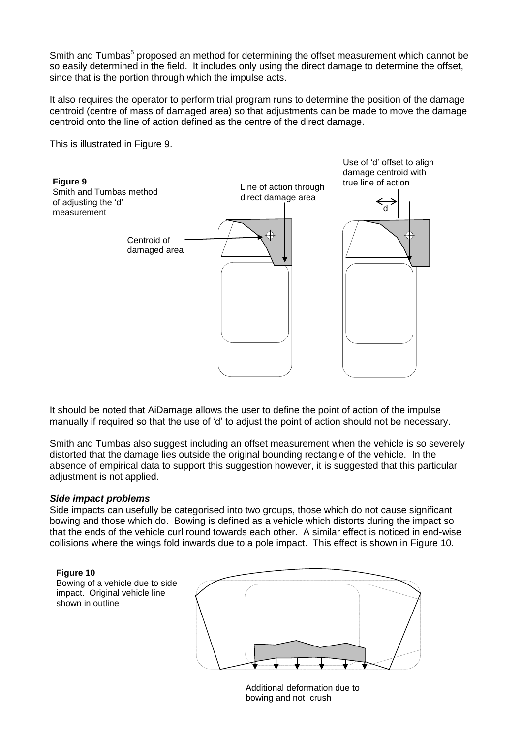Smith and Tumbas<sup>5</sup> proposed an method for determining the offset measurement which cannot be so easily determined in the field. It includes only using the direct damage to determine the offset, since that is the portion through which the impulse acts.

It also requires the operator to perform trial program runs to determine the position of the damage centroid (centre of mass of damaged area) so that adjustments can be made to move the damage centroid onto the line of action defined as the centre of the direct damage.

This is illustrated in Figure 9.



It should be noted that AiDamage allows the user to define the point of action of the impulse manually if required so that the use of 'd' to adjust the point of action should not be necessary.

Smith and Tumbas also suggest including an offset measurement when the vehicle is so severely distorted that the damage lies outside the original bounding rectangle of the vehicle. In the absence of empirical data to support this suggestion however, it is suggested that this particular adjustment is not applied.

#### *Side impact problems*

Side impacts can usefully be categorised into two groups, those which do not cause significant bowing and those which do. Bowing is defined as a vehicle which distorts during the impact so that the ends of the vehicle curl round towards each other. A similar effect is noticed in end-wise collisions where the wings fold inwards due to a pole impact. This effect is shown in Figure 10.

#### **Figure 10**

Bowing of a vehicle due to side impact. Original vehicle line shown in outline



Additional deformation due to bowing and not crush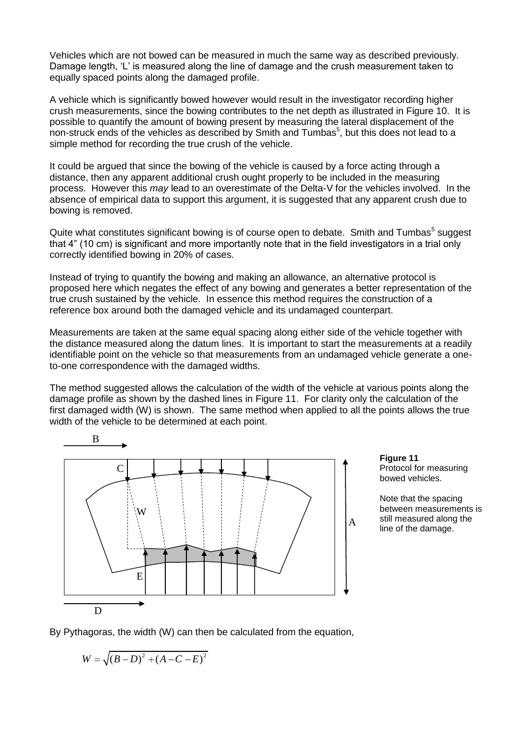Vehicles which are not bowed can be measured in much the same way as described previously. Damage length, 'L' is measured along the line of damage and the crush measurement taken to equally spaced points along the damaged profile.

A vehicle which is significantly bowed however would result in the investigator recording higher crush measurements, since the bowing contributes to the net depth as illustrated in Figure 10. It is possible to quantify the amount of bowing present by measuring the lateral displacement of the non-struck ends of the vehicles as described by Smith and Tumbas<sup>5</sup>, but this does not lead to a simple method for recording the true crush of the vehicle.

It could be argued that since the bowing of the vehicle is caused by a force acting through a distance, then any apparent additional crush ought properly to be included in the measuring process. However this *may* lead to an overestimate of the Delta-V for the vehicles involved. In the absence of empirical data to support this argument, it is suggested that any apparent crush due to bowing is removed.

Quite what constitutes significant bowing is of course open to debate. Smith and Tumbas<sup>5</sup> suggest that 4" (10 cm) is significant and more importantly note that in the field investigators in a trial only correctly identified bowing in 20% of cases.

Instead of trying to quantify the bowing and making an allowance, an alternative protocol is proposed here which negates the effect of any bowing and generates a better representation of the true crush sustained by the vehicle. In essence this method requires the construction of a reference box around both the damaged vehicle and its undamaged counterpart.

Measurements are taken at the same equal spacing along either side of the vehicle together with the distance measured along the datum lines. It is important to start the measurements at a readily identifiable point on the vehicle so that measurements from an undamaged vehicle generate a oneto-one correspondence with the damaged widths.

The method suggested allows the calculation of the width of the vehicle at various points along the damage profile as shown by the dashed lines in Figure 11. For clarity only the calculation of the first damaged width (W) is shown. The same method when applied to all the points allows the true width of the vehicle to be determined at each point.



**Figure 11** Protocol for measuring bowed vehicles.

Note that the spacing between measurements is still measured along the line of the damage.

By Pythagoras, the width (W) can then be calculated from the equation,

$$
W = \sqrt{(B-D)^2 + (A-C-E)^2}
$$